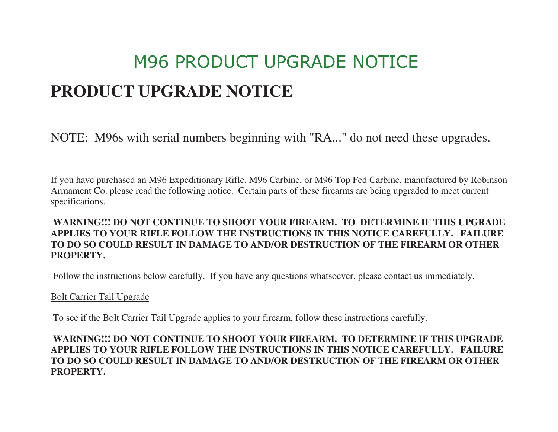# M96 PRODUCT UPGRADE NOTICE **PRODUCT UPGRADE NOTICE**

NOTE: M96s with serial numbers beginning with "RA..." do not need these upgrades.

If you have purchased an M96 Expeditionary Rifle, M96 Carbine, or M96 Top Fed Carbine, manufactured by Robinson Armament Co. please read the following notice. Certain parts of these firearms are being upgraded to meet current specifications.

## **WARNING!!! DO NOT CONTINUE TO SHOOT YOUR FIREARM. TO DETERMINE IF THIS UPGRADE APPLIES TO YOUR RIFLE FOLLOW THE INSTRUCTIONS IN THIS NOTICE CAREFULLY. FAILURE TO DO SO COULD RESULT IN DAMAGE TO AND/OR DESTRUCTION OF THE FIREARM OR OTHER PROPERTY.**

Follow the instructions below carefully. If you have any questions whatsoever, please contact us immediately.

#### Bolt Carrier Tail Upgrade

To see if the Bolt Carrier Tail Upgrade applies to your firearm, follow these instructions carefully.

## **WARNING!!! DO NOT CONTINUE TO SHOOT YOUR FIREARM. TO DETERMINE IF THIS UPGRADE APPLIES TO YOUR RIFLE FOLLOW THE INSTRUCTIONS IN THIS NOTICE CAREFULLY. FAILURE TO DO SO COULD RESULT IN DAMAGE TO AND/OR DESTRUCTION OF THE FIREARM OR OTHER PROPERTY.**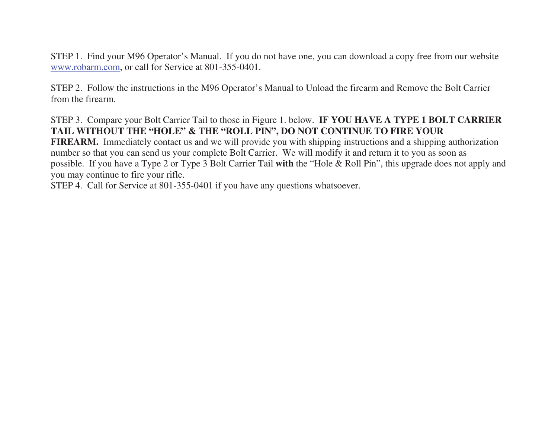STEP 1. Find your M96 Operator's Manual. If you do not have one, you can download a copy free from our website www.robarm.com, or call for Service at 801-355-0401.

STEP 2. Follow the instructions in the M96 Operator's Manual to Unload the firearm and Remove the Bolt Carrier from the firearm.

# STEP 3. Compare your Bolt Carrier Tail to those in Figure 1. below. **IF YOU HAVE A TYPE 1 BOLT CARRIER TAIL WITHOUT THE "HOLE" & THE "ROLL PIN", DO NOT CONTINUE TO FIRE YOUR**

 **FIREARM.** Immediately contact us and we will provide you with shipping instructions and a shipping authorizationnumber so that you can send us your complete Bolt Carrier. We will modify it and return it to you as soon as possible. If you have a Type 2 or Type 3 Bolt Carrier Tail **with** the "Hole & Roll Pin", this upgrade does not apply and you may continue to fire your rifle.

STEP 4. Call for Service at 801-355-0401 if you have any questions whatsoever.